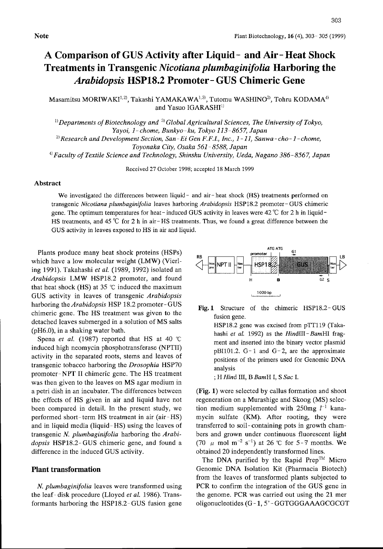## A Comparison of GUS Activity after Liquid- and Air- Heat Shock Treatments in Transgenic Nicotiana plumbaginifolia Harboring the Arabidopsis HSP18.2 Promoter- GUS Chimeric Gene

Masamitsu MORIWAKI<sup>1,2)</sup>, Takashi YAMAKAWA<sup>1,3)</sup>, Tutomu WASHINO<sup>2)</sup>, Tohru KODAMA<sup>4)</sup> and Yasuo IGARASHI<sup>1)</sup>

<sup>1)</sup> Departments of Biotechnology and <sup>3)</sup>Global Agricultural Sciences, The University of Tokyo, Yayoi, 1-chome, Bunkyo-ku, Tokyo 113-8657, Japan <sup>2)</sup>Research and Development Section, San-Ei Gen F.F.I., Inc., 1-11, Sanwa-cho-1-chome, Toyonaka City, Osaka 561 - 8588. Japan  $4)$  Faculty of Textile Science and Technology, Shinshu University, Ueda, Nagano 386-8567, Japan

Received 27 october 1998; accepted 18 March 1999

#### Abstract

We investigated the differences between liquid - and air - heat shock (HS) treatments performed on transgenic Nicotiana plumbagimfolia leaves harboring Arabidopsis HSP18.2 promoter - GUS chimeric gene. The optimum temperatures for heat – induced GUS activity in leaves were  $42^{\circ}$ C for 2 h in liquid – HS treatments, and 45 °C for 2 h in air - HS treatments. Thus, we found a great difference between the GUS activity in leaves exposed to HS in air and liquid.

Plants produce many heat shock proteins (HSPs) which have a low molecular weight (LMW) (Vierling 1991). Takahashi et al. (1989, 1992) isolated an Arabidopsis LMW HSP18.2 promoter, and found that heat shock (HS) at 35  $\degree$ C induced the maximum GUS activity in leaves of transgenic Arabidopsis harboring the Arabidopsis HSP 18.2 promoter-GUS chimeric gene. The HS treatment was given to the detached leaves submerged in a solution of MS salts (pH6.0), in a shaking water bath.

Spena et al. (1987) reported that HS at 40  $\degree$ C induced high neomycin phosphotransferase (NPTII) activity in the separated roots, stems and leaves of transgenic tobacco harboring the Drosophia HSP70 promoter-NPT <sup>11</sup> chimeric gene. The HS treatment was then given to the leaves on MS agar medium in a petri dish in an incubater. The differences between the effects of HS given in air and liquid have not been compared in detail. In the present study, we performed short-term HS treatment in air (air- HS) and in liquid media (liquid-HS) using the leaves of transgenic N. plumbagimfolia harboring the Arabidopsis HSP18.2-GUS chimeric gene, and found a difference in the induced GUS activity.

#### Plant transformation

N. plumbagimfolia leaves were transformed using the leaf-disk procedure (Lloyed et al. 1986). Transformants harboring the HSP18.2- GUS fusion gene



Fig. I Structure of the chimeric HSP18.2-GUS fusion gene.

> HSP18.2 gene was excised from pTT119 (Takahashi et al. 1992) as the HindIII-BamHI fragment and inserted into the binary vector plasmid pBI101.2.  $G-1$  and  $G-2$ , are the approximate positions of the primers used for Genomic DNA analysis

; H Hind III, B BamH I, S Sac I.

(Fig. 1) were selected by callus formation and shoot regeneration on a Murashige and Skoog (MS) selection medium supplemented with  $250$ mg  $l^{-1}$  kanamycin sulfate (KM). After rooting, they were transferred to soil- containing pots in growth chambers and grown under continuous fluorescent light (70  $\mu$  mol m<sup>-2</sup> s<sup>-1</sup>) at 26 °C for 5-7 months. We obtained 20 independently transformed lines.

The DNA purified by the Rapid Prep<sup>TM</sup> Micro Genomic DNA Isolation Kit (Pharmacia Biotech) from the leaves of transformed plants subjected to PCR to confirm the integration of the GUS gene in the genome. PCR was carried out using the <sup>21</sup> mer oligonucleotides (G-1, 5'-GGTGGGAAAGCGCGT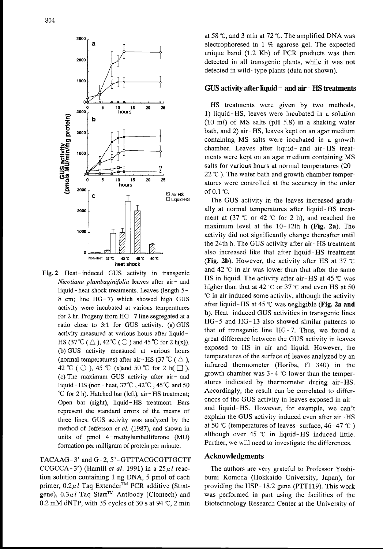

Nicotiana plumbaginifolia leaves after air- and liquid - heat shock treatments. Leaves (length 5- 8 cm; Iine HG-7) which showed high GUS activity were incubated at various temperatures for 2 hr. Progeny from  $HG - 7$  line segregated at a ratio close to 3:1 for GUS activity. (a) GUS activity measured at various hours after liquid-HS (37 °C ( $\triangle$ ), 42 °C ( $\bigcirc$ ) and 45 °C for 2 h(x)). (b) GUS activity measured at various hours (b) OOS activity measured at various nours<br>(normal temperatures) after air - HS (37 °C ( $\triangle$ ), 42 °C ( $\bigcirc$ ), 45 °C (x)and 50 °C for 2 h( $\Box$ ). (c) The maximum GUS activity after air- and liquid - HS (non - heat,  $37^{\circ}$ C,  $42^{\circ}$ C,  $45^{\circ}$ C and 50  $^{\circ}$ C for 2 h). Hatched bar (left), air – HS treatment; Open bar (right), liquid – HS treatment. Bars represent the standard errors of the means of three lines. GUS activity was analyzed by the method of Jefferson et al. (1987), and shown in units of pmol 4-methylumbelliferone (MU) formation per milligram of protein per minute.

TACAAG- 3' and G-2, 5' - GTTTACGCGTTGCTT CCGCCA-3') (Hamill *et al.* 1991) in a  $25 \mu l$  reaction solution containing 1 ng DNA, 5 pmol of each primer,  $0.2 \mu l$  Taq Extender<sup>TM</sup> PCR additive (Stratgene),  $0.3 \mu l$  Taq Start<sup>TM</sup> Antibody (Clontech) and 0.2 mM dNTP, with 35 cycles of 30 s at 94  $\degree$ C, 2 min

at 58  $\degree$ C, and 3 min at 72  $\degree$ C. The amplified DNA was electrophoresed in 1  $%$  agarose gel. The expected unique band (1.2 Kb) of PCR products was then detected in all transgenic plants, while it was not detected in wild- type plants (data not shown).

### GUS activity after liquid - and air- ns treatnents

HS treatments were given by two methods, 1) Iiquid-HS, Ieaves were incubated in a solution  $(10 \text{ m})$  of MS salts (pH 5.8) in a shaking water bath, and 2) air- HS, Ieaves kept on an agar medium containing MS salts were incubated in <sup>a</sup> growth chamber. Leaves after liquid- and air-HS treatments were kept on an agar medium containing MS salts for various hours at normal temperatures (20-  $22 \text{ }^{\circ}$  C). The water bath and growth chamber temperatures were controlled at the accuracy in the order of 0.1 'C.

The GUS activity in the leaves increased gradually at normal temperatures after liquid-HS treatment at  $(37 \text{ °C})$  or  $42 \text{ °C}$  for 2 h), and reached the maximum level at the  $10-12$ th h (Fig. 2a). The activity did not significantly change thereafter until the 24th h. The GUS activity after air- HS treatment also increased like that after liquid-HS treatment **(Fig. 2b).** However, the activity after HS at 37  $\degree$ C and 42  $\degree$ C in air was lower than that after the same HS in liquid. The activity after air-HS at 45  $\degree$ C was higher than that at 42  $^{\circ}$ C or 37  $^{\circ}$ C and even HS at 50 'C in air induced some activity, although the activity after liquid-HS at 45  $\degree$ C was negligible (Fig. 2a and b). Heat- induced GUS activities in transgenic lines HG-5 and HG- <sup>13</sup> also showed similar patterns to that of transgenic line HG-7. Thus, we found a great difference between the GUS activity in leaves exposed to HS in air and liquid. However, the temperatures of the surface of leaves analyzed by an infrared thermometer (Horiba, IT-340) in the growth chamber was  $3-4$  °C lower than the temperatures indicated by thermometer during air-HS. Accordingly, the result can be correlated to differences of the GUS activity in leaves exposed in airand liquid-HS. However, for example, we can't explain the GUS activity induced even after air-HS at 50 °C (temperatures of leaves-surface,  $46-47$  °C) although over 45  $\degree$ C in liquid-HS induced little. Further, we will need to investigate the differences.

#### Acknowledgments

The authors are very grateful to Professor Yoshibumi Komeda (Hokkaido University, Japan), for providing the HSP- 18.2 gene (PTT119). This work was performed in part using the facilities of the Biotechnology Research Center at the University of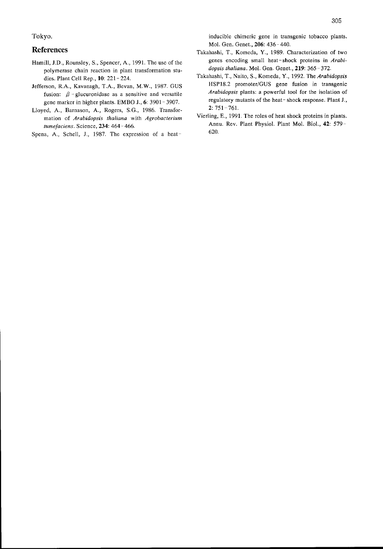Tokyo.

#### References

- Hamill, J.D., Rounsley, S., Spencer, A , 1991. The use of the polymerase chain reaction in plant transformation studies. Plant Cell Rep., 10: 221-224.
- Jefferson, R.A., Kavanagh, T.A., Bevan, M.W., 1987. GUS fusion:  $\beta$  -glucuronidase as a sensitive and versatile gene marker in higher plants EMBO J., 6: 3901-3907.
- Lloyed, A., Barnason, A., Rogers, S.G., 1986. Transformation of Arabidopsis thaliana with Agrobacterium tumefaciens. Science, 234: 464 - 466
- Spena, A., Schell, J., 1987. The expression of a heat-

inducible chimeric gene in transgenic tobacco plants. Mol. Gen. Genet., 206: 436- 440.

- Takahashi, T., Komeda, Y., 1989. Characterization of two genes encoding small heat-shock proteins in Arabidopsis thaliana. Mol. Gen. Genet., 219: 365-372
- Takahashi, T., Naito, S., Komeda, Y., 1992. The Arabidopsis HSP18.2 promoter/GUS gene fusion in transgenic Arabidopsis plants: a powerful tool for the isolation of regulatory mutants of the heat- shock response. Plant J, 2: 751-761.
- Vierling, E., 1991. The roles of heat shock proteins in plants. Annu. Rev. Plant Physiol. Plant Mol. Biol., 42: 579- 620.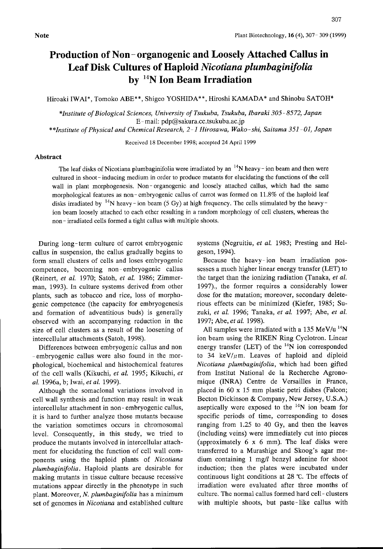# Production of Non-organogenic and Loosely Attached Callus in Leaf Disk Cultures of Haploid Nicotiana plumbagimfolia by  $^{14}N$  Ion Beam Irradiation

Hiroaki IWAI\*, Tomoko ABE\*\*, Shigeo YOSHIDA\*\*, Hiroshi KAMADA\* and Shinobu SATOH\*

\*Institute ofBiological Sciences, University of Tsukuba, Tsukuba, Ibaraki 305 - 8572. Japan E-mail: pdp@sakura.cc.tsukuba, ac,jp

\*\*Institute of Physical and Chemical Research, 2-1 Hirosawa, Wako-shi, Saitama 351-01, Japan

Received 18 December 1998; accepted 24 April 1999

#### Abstract

The leaf disks of Nicotiana plumbaginifolia were irradiated by an  $14N$  heavy – ion beam and then were cultured in shoot - inducing medium in order to produce mutants for elucidating the functions of the cell wall in plant morphogenesis. Non-organogenic and loosely attached callus, which had the same morphological features as non- embryogenic callus of carrot was formed on 11.8% of the haploid leaf disks irradiated by  $14N$  heavy – ion beam (5 Gy) at high frequency. The cells stimulated by the heavy – ion beam loosely attached to each other resulting in a random morphology of cell clusters, whereas the non - irradiated cells formed a tight callus with multiple shoots.

During long-term culture of carrot embryogenic callus in suspension, the callus gradually begins to form small clusters of cells and loses embryogenic competence, becoming non-embryogenic callus (Reinert, et al. 1970; Satoh, et al. 1986; Zimmerman, 1993). In culture systems derived from other plants, such as tobacco and rice, Ioss of morphogenic competence (the capacity for embryogenesis and formation of adventitious buds) is generally observed with an accompanying reduction in the size of cell clusters as a result of the loosening of intercellular attachments (Satoh, 1998).

Differences between embryogenic callus and non -embryogenic callus were also found in the morphological, biochemical and histochemical features of the cell walls (Kikuchi, et al. 1995; Kikuchi, et al. 1996a, b; Iwai, et al. 1999).

Although the somaclonal variations involved in cell wall synthesis and function may result in weak intercellular attachment in non- embryogenic callus, it is hard to further analyze those mutants because the variation sometimes occurs in chromosomal level. Consequently, in this study, we tried to produce the mutants involved in intercellular attachment for elucidating the function of cell wall components using the haploid plants of Nicotiana plumbagimfolia. Haploid plants are desirable for making mutants in tissue culture because recessive mutations appear directly in the phenotype in such plant. Moreover, N. plumbaginifolia has a minimum set of genomes in Nicotiana and established culture systems (Negruitiu, et al. 1983; Presting and Helgeson, 1994).

Because the heavy-ion beam irradiation possesses a much higher linear energy transfer (LET) to the target than the ionizing radiation (Tanaka, et al. 1997)., the former requires a considerably lower dose for the mutation; moreover, secondary deleterious effects can be minimized (Kiefer, 1985; Suzuki, et al. 1996; Tanaka, et al. 1997; Abe, et al. 1997; Abe, et al. 1998).

All samples were irradiated with a 135 MeV/u  $^{14}$ N ion beam using the RIKEN Ring Cyclotron. Linear energy transfer (LET) of the  $^{14}N$  ion corresponded to 34 keV/ $\mu$ m. Leaves of haploid and diploid Nicotiana plumbaginifolia, which had been gifted from Institut National de la Recherche Agronomique (lNRA) Centre de Versailles in France, placed in 60 x 15 mm plastic petri dishes (Falcon; Becton Dickinson & Company, New Jersey, U.S.A.) aseptically were exposed to the  $14N$  ion beam for specific periods of time, corresponding to doses ranging from  $1.25$  to  $40$  Gy, and then the leaves (including veins) were immediately cut into pieces (approximately 6 <sup>x</sup> 6 mm). The leaf disks were transferred to a Murashige and Skoog's agar medium containing I mg/1 benzyl adenine for shoot induction; then the plates were incubated under continuous light conditions at  $28$  °C. The effects of irradiation were evaluated after three months of culture. The normal callus formed hard cell - clusters with multiple shoots, but paste-like callus with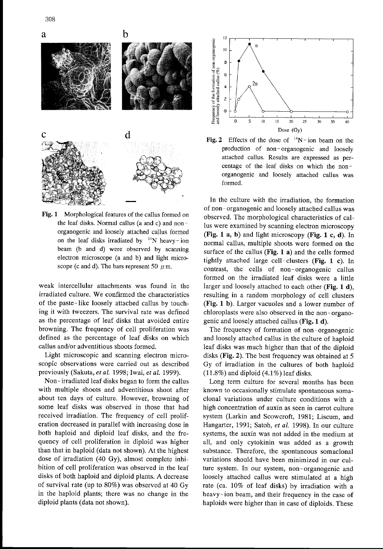

Fig. I Morphological features of the callus formed on the leaf disks. Normal callus (a and c) and nonorganogenic and loosely attached callus formed on the leaf disks irradiated by  $14N$  heavy-ion beam (b and d) were observed by scanning electron microscope (a and b) and light microscope (c and d). The bars represent 50  $\mu$  m,

weak intercellular attachments was found in the irradiated culture. We confirmed the characteristics of the paste-1ike loosely attached callus by touching it with tweezers. The survival rate was defined as the percentage of leaf disks that avoided entire browning. The frequency of cell proliferation was defined as the percentage of leaf disks on which callus and/or adventitious shoots formed.

Light microscopic and scanning electron microscopic observations were carried out as described previously (Sakuta, et al. 1998; Iwai, et al. 1999).

Non- irradiated leaf disks began to form the callus with multiple shoots and adventitious shoot after about ten days of culture. However, browning of some leaf disks was observed in those that had received irradiation. The frequency of cell proliferation decreased in parallel with increasing dose in both haploid and diploid leaf disks, and the frequency of cell proliferation in diploid was higher than that in haploid (data not shown). At the highest dose of irradiation (40 Gy), almost complete inhibition of cell proliferation was observed in the leaf disks of both haploid and diploid plants. A decrease of survival rate (up to 80%) was observed at 40 Gy in the haploid plants; there was no change in the diploid plants (data not shown).



**Fig. 2** Effects of the dose of  $14N$ -ion beam on the production of non-organogenic and loosely attached callus. Results are expressed as percentage of the leaf disks on which the nonorganogenic and loosely attached callus was formed.

In the culture with the irradiation, the formation of non- organogenic and loosely attached callus was observed. The morphological characteristics of callus were examined by scanning electron microscopy (Fig. 1 a, b) and light microscopy (Fig. 1 c, d). In normal callus, multiple shoots were formed on the surface of the callus (Fig.  $1$  a) and the cells formed tightly attached large cell-clusters (Fig. I c). In contrast, the cells of non-organogenic callus formed on the irradiated leaf disks were a little larger and loosely attached to each other (Fig.  $1 d$ ), resulting in a random morphology of cell clusters (Fig. 1 b). Larger vacuoles and a lower number of chloroplasts were also observed in the non-organogenic and loosely attached callus (Fig. 1 d).

The frequency of formation of non-organogenic and loosely attached callus in the culture of haploid leaf disks was much higher than that of the diploid disks (Fig. 2). The best frequency was obtained at 5 Gy of irradiation in the cultures of both haploid  $(11.8\%)$  and diploid  $(4.1\%)$  leaf disks.

Long term culture for several months has been known to occasionally stimulate spontaneous somaclonal variations under culture conditions with a high concentration of auxin as seen in carrot culture system (Larkin and Scowcroft, 1981; Liscum, and Hangarter, 1991; Satoh, et al. 1998). In our culture systems, the auxin was not added in the medium at all, and only cytokinin was added as a growth substance. Therefore, the spontaneous somaclonal variations should have been minimized in our culture system. In our system, non-organogenic and loosely attached callus were stimulated at a high rate (ca. 10% of leaf disks) by irradiation with <sup>a</sup> heavy- ion beam, and their frequency in the case of haploids were higher than in case of diploids. These